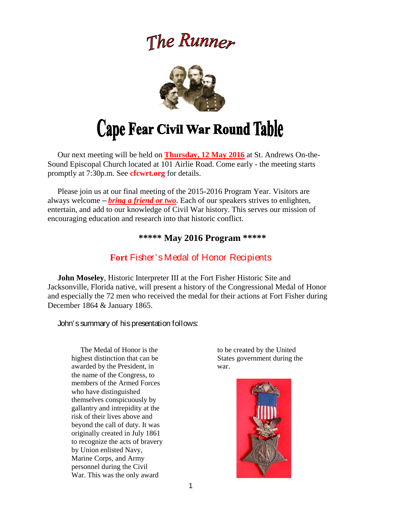# The Runner



# Cape Fear Civil War Round Table

 Our next meeting will be held on **Thursday, 12 May 2016** at St. Andrews On-the-Sound Episcopal Church located at 101 Airlie Road. Come early - the meeting starts promptly at 7:30p.m. See **cfcwrt.org** for details.

 Please join us at our final meeting of the 2015-2016 Program Year. Visitors are always welcome – *bring a friend or two*. Each of our speakers strives to enlighten, entertain, and add to our knowledge of Civil War history. This serves our mission of encouraging education and research into that historic conflict.

## **\*\*\*\*\* May 2016 Program \*\*\*\*\***

# **Fort** Fisher's Medal of Honor Recipients

 **John Moseley**, Historic Interpreter III at the Fort Fisher Historic Site and Jacksonville, Florida native, will present a history of the Congressional Medal of Honor and especially the 72 men who received the medal for their actions at Fort Fisher during December 1864 & January 1865.

John's summary of his presentation follows:

 The Medal of Honor is the highest distinction that can be awarded by the President, in the name of the Congress, to members of the Armed Forces who have distinguished themselves conspicuously by gallantry and intrepidity at the risk of their lives above and beyond the call of duty. It was originally created in July 1861 to recognize the acts of bravery by Union enlisted Navy, Marine Corps, and Army personnel during the Civil War. This was the only award

to be created by the United States government during the war.

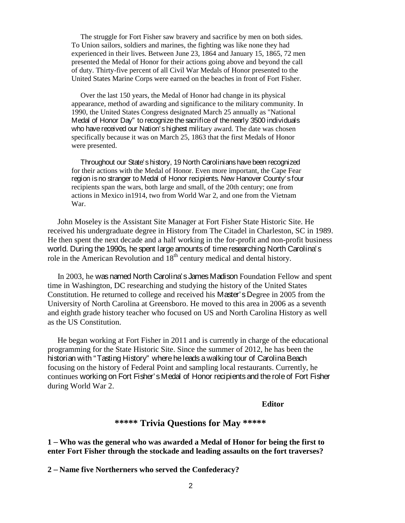The struggle for Fort Fisher saw bravery and sacrifice by men on both sides. To Union sailors, soldiers and marines, the fighting was like none they had experienced in their lives. Between June 23, 1864 and January 15, 1865, 72 men presented the Medal of Honor for their actions going above and beyond the call of duty. Thirty-five percent of all Civil War Medals of Honor presented to the United States Marine Corps were earned on the beaches in front of Fort Fisher.

 Over the last 150 years, the Medal of Honor had change in its physical appearance, method of awarding and significance to the military community. In 1990, the United States Congress designated March 25 annually as "National Medal of Honor Day" to recognize the sacrifice of the nearly 3500 individuals who have received our Nation's highest military award. The date was chosen specifically because it was on March 25, 1863 that the first Medals of Honor were presented.

 Throughout our State's history, 19 North Carolinians have been recognized for their actions with the Medal of Honor. Even more important, the Cape Fear region is no stranger to Medal of Honor recipients. New Hanover County's four recipients span the wars, both large and small, of the 20th century; one from actions in Mexico in1914, two from World War 2, and one from the Vietnam War.

 John Moseley is the Assistant Site Manager at Fort Fisher State Historic Site. He received his undergraduate degree in History from The Citadel in Charleston, SC in 1989. He then spent the next decade and a half working in the for-profit and non-profit business world. During the 1990s, he spent large amounts of time researching North Carolina's role in the American Revolution and 18<sup>th</sup> century medical and dental history.

 In 2003, he was named North Carolina's James Madison Foundation Fellow and spent time in Washington, DC researching and studying the history of the United States Constitution. He returned to college and received his Master's Degree in 2005 from the University of North Carolina at Greensboro. He moved to this area in 2006 as a seventh and eighth grade history teacher who focused on US and North Carolina History as well as the US Constitution.

 He began working at Fort Fisher in 2011 and is currently in charge of the educational programming for the State Historic Site. Since the summer of 2012, he has been the historian with "Tasting History" where he leads a walking tour of Carolina Beach focusing on the history of Federal Point and sampling local restaurants. Currently, he continues working on Fort Fisher's Medal of Honor recipients and the role of Fort Fisher during World War 2.

#### *Editor*

# **\*\*\*\*\* Trivia Questions for May \*\*\*\*\***

**1** – **Who was the general who was awarded a Medal of Honor for being the first to enter Fort Fisher through the stockade and leading assaults on the fort traverses?** 

**2** – **Name five Northerners who served the Confederacy?**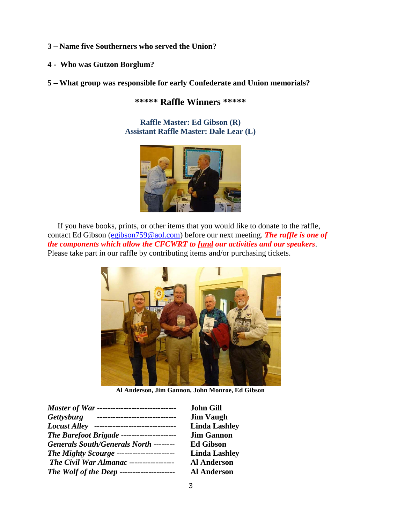- **3** – **Name five Southerners who served the Union?**
- **4 Who was Gutzon Borglum?**
- **5** – **What group was responsible for early Confederate and Union memorials?**

**\*\*\*\*\* Raffle Winners \*\*\*\*\*** 

**Raffle Master: Ed Gibson (R) Assistant Raffle Master: Dale Lear (L)** 



If you have books, prints, or other items that you would like to donate to the raffle, contact Ed Gibson (egibson759@aol.com) before our next meeting. *The raffle is one of the components which allow the CFCWRT to fund our activities and our speakers*. Please take part in our raffle by contributing items and/or purchasing tickets.



**Al Anderson, Jim Gannon, John Monroe, Ed Gibson** 

|                     | <i>Master of War ----------------------------</i> |
|---------------------|---------------------------------------------------|
| Gettysburg          |                                                   |
| <b>Locust Alley</b> | -----------------                                 |
|                     | The Barefoot Brigade ---------------------        |
|                     | <b>Generals South/Generals North --------</b>     |
|                     | <b>The Mighty Scourge ----------------------</b>  |
|                     | The Civil War Almanac -----------------           |
|                     | <b>The Wolf of the Deep ---------------------</b> |

*Master of War ------------------------------* **John Gill Jim Vaugh** Linda Lashley *The Barefoot Brigade ---------------------* **Jim Gannon**   $Ed *Gibson*$ *The Mighty Scourge* **---------------------- Linda Lashley**  *The Civil War Almanac -----------------* **Al Anderson**  *The Wolf of the Deep ---------------------* **Al Anderson**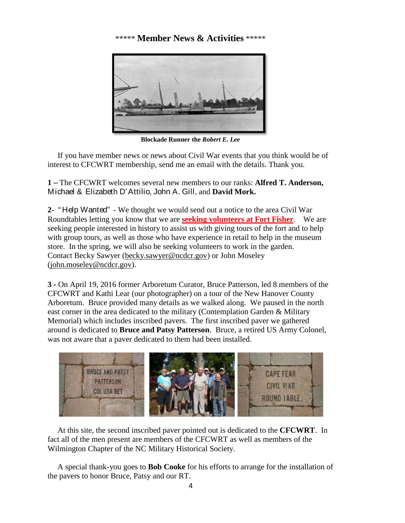# \*\*\*\*\* **Member News & Activities** \*\*\*\*\*



**Blockade Runner the** *Robert E. Lee* 

 If you have member news or news about Civil War events that you think would be of interest to CFCWRT membership, send me an email with the details. Thank you.

**1** – The CFCWRT welcomes several new members to our ranks: **Alfred T. Anderson,**  Michael & Elizabeth D'Attilio, John A. Gill, and **David Mork.** 

**2-** " Help Wanted" - We thought we would send out a notice to the area Civil War Roundtables letting you know that we are **seeking volunteers at Fort Fisher**. We are seeking people interested in history to assist us with giving tours of the fort and to help with group tours, as well as those who have experience in retail to help in the museum store. In the spring, we will also be seeking volunteers to work in the garden. Contact Becky Sawyer (becky.sawyer@ncdcr.gov) or John Moseley (john.moseley@ncdcr.gov).

**3 -** On April 19, 2016 former Arboretum Curator, Bruce Patterson, led 8 members of the CFCWRT and Kathi Lear (our photographer) on a tour of the New Hanover County Arboretum. Bruce provided many details as we walked along. We paused in the north east corner in the area dedicated to the military (Contemplation Garden & Military Memorial) which includes inscribed pavers. The first inscribed paver we gathered around is dedicated to **Bruce and Patsy Patterson**. Bruce, a retired US Army Colonel, was not aware that a paver dedicated to them had been installed.



 At this site, the second inscribed paver pointed out is dedicated to the **CFCWRT**. In fact all of the men present are members of the CFCWRT as well as members of the Wilmington Chapter of the NC Military Historical Society.

 A special thank-you goes to **Bob Cooke** for his efforts to arrange for the installation of the pavers to honor Bruce, Patsy and our RT.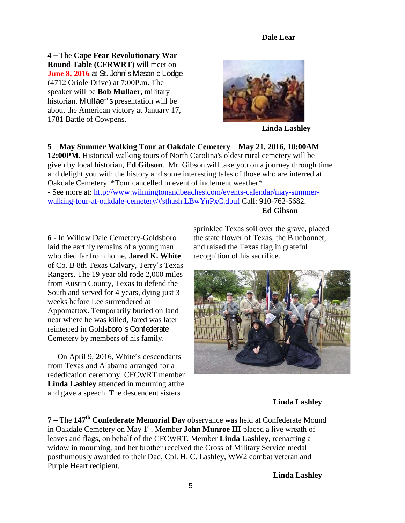#### **Dale Lear**

**4** – The **Cape Fear Revolutionary War Round Table (CFRWRT) will** meet on **June 8, 2016** at St. John's Masonic Lodge (4712 Oriole Drive) at 7:00P.m. The speaker will be **Bob Mullaer,** military historian. Mullaer's presentation will be about the American victory at January 17, 1781 Battle of Cowpens.



**Linda Lashley** 

**5** – **May Summer Walking Tour at Oakdale Cemetery** – **May 21, 2016, 10:00AM** – **12:00PM.** Historical walking tours of North Carolina's oldest rural cemetery will be given by local historian, **Ed Gibson**. Mr. Gibson will take you on a journey through time and delight you with the history and some interesting tales of those who are interred at Oakdale Cemetery. \*Tour cancelled in event of inclement weather\*

- See more at: http://www.wilmingtonandbeaches.com/events-calendar/may-summerwalking-tour-at-oakdale-cemetery/#sthash.LBwYnPxC.dpuf Call: 910-762-5682. **Ed Gibson** 

**6 -** In Willow Dale Cemetery-Goldsboro laid the earthly remains of a young man who died far from home, **Jared K. White** of Co. B 8th Texas Calvary, Terry's Texas Rangers. The 19 year old rode 2,000 miles from Austin County, Texas to defend the South and served for 4 years, dying just 3 weeks before Lee surrendered at Appomatto**x.** Temporarily buried on land near where he was killed, Jared was later reinterred in Goldsboro's Confederate Cemetery by members of his family.

 On April 9, 2016, White's descendants from Texas and Alabama arranged for a rededication ceremony. CFCWRT member **Linda Lashley** attended in mourning attire and gave a speech. The descendent sisters

sprinkled Texas soil over the grave, placed the state flower of Texas, the Bluebonnet, and raised the Texas flag in grateful recognition of his sacrifice.



#### **Linda Lashley**

**7** – The **147th Confederate Memorial Day** observance was held at Confederate Mound in Oakdale Cemetery on May 1<sup>st</sup>. Member **John Munroe III** placed a live wreath of leaves and flags, on behalf of the CFCWRT. Member **Linda Lashley**, reenacting a widow in mourning, and her brother received the Cross of Military Service medal posthumously awarded to their Dad, Cpl. H. C. Lashley, WW2 combat veteran and Purple Heart recipient.

 **Linda Lashley**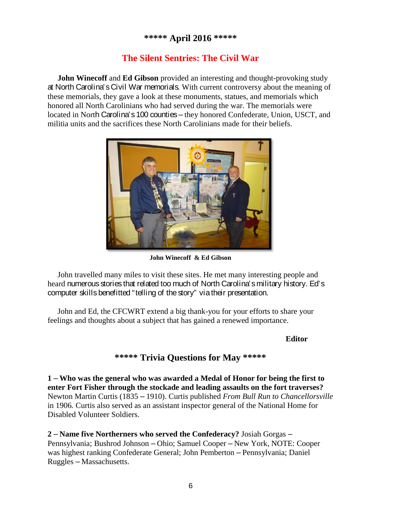# **\*\*\*\*\* April 2016 \*\*\*\*\***

# **The Silent Sentries: The Civil War**

**John Winecoff and Ed Gibson** provided an interesting and thought-provoking study at North Carolina's Civil War memorials. With current controversy about the meaning of these memorials, they gave a look at these monuments, statues, and memorials which honored all North Carolinians who had served during the war. The memorials were located in North Carolina's 100 counties – they honored Confederate, Union, USCT, and militia units and the sacrifices these North Carolinians made for their beliefs.



**John Winecoff & Ed Gibson** 

 John travelled many miles to visit these sites. He met many interesting people and heard numerous stories that related too much of North Carolina's military history. Ed's computer skills benefitted "telling of the story" via their presentation.

 John and Ed, the CFCWRT extend a big thank-you for your efforts to share your feelings and thoughts about a subject that has gained a renewed importance.

#### **Editor**

## **\*\*\*\*\* Trivia Questions for May \*\*\*\*\***

**1** – **Who was the general who was awarded a Medal of Honor for being the first to enter Fort Fisher through the stockade and leading assaults on the fort traverses?**  Newton Martin Curtis (1835 – 1910). Curtis published *From Bull Run to Chancellorsville*  in 1906*.* Curtis also served as an assistant inspector general of the National Home for Disabled Volunteer Soldiers.

**2** – **Name five Northerners who served the Confederacy?** Josiah Gorgas – Pennsylvania; Bushrod Johnson – Ohio; Samuel Cooper – New York, NOTE: Cooper was highest ranking Confederate General; John Pemberton – Pennsylvania; Daniel Ruggles – Massachusetts.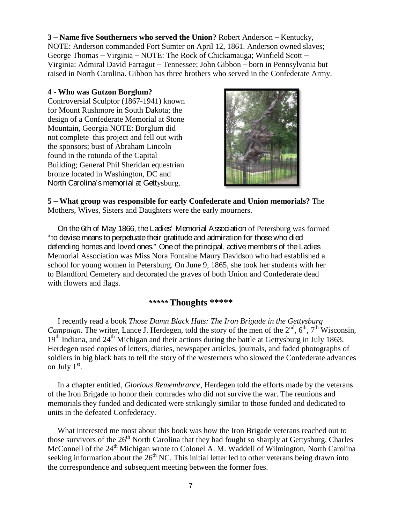#### **3** – **Name five Southerners who served the Union?** Robert Anderson – Kentucky,

NOTE: Anderson commanded Fort Sumter on April 12, 1861. Anderson owned slaves; George Thomas – Virginia – NOTE: The Rock of Chickamauga; Winfield Scott – Virginia: Admiral David Farragut – Tennessee; John Gibbon – born in Pennsylvania but raised in North Carolina. Gibbon has three brothers who served in the Confederate Army.

#### **4 - Who was Gutzon Borglum?**

Controversial Sculptor (1867-1941) known for Mount Rushmore in South Dakota; the design of a Confederate Memorial at Stone Mountain, Georgia NOTE: Borglum did not complete this project and fell out with the sponsors; bust of Abraham Lincoln found in the rotunda of the Capital Building; General Phil Sheridan equestrian bronze located in Washington, DC and North Carolina's memorial at Gettysburg.



**5** – **What group was responsible for early Confederate and Union memorials?** The Mothers, Wives, Sisters and Daughters were the early mourners.

 On the 6th of May 1866, the Ladies' Memorial Association of Petersburg was formed "to devise means to perpetuate their gratitude and admiration for those who died defending homes and loved ones." One of the principal, active members of the Ladies Memorial Association was Miss Nora Fontaine Maury Davidson who had established a school for young women in Petersburg. On June 9, 1865, she took her students with her to Blandford Cemetery and decorated the graves of both Union and Confederate dead with flowers and flags.

## *\*\*\*\*\** **Thoughts \*\*\*\*\***

 I recently read a book *Those Damn Black Hats: The Iron Brigade in the Gettysburg Campaign.* The writer, Lance J. Herdegen, told the story of the men of the  $2<sup>nd</sup>$ ,  $6<sup>th</sup>$ ,  $7<sup>th</sup>$  Wisconsin, 19<sup>th</sup> Indiana, and 24<sup>th</sup> Michigan and their actions during the battle at Gettysburg in July 1863. Herdegen used copies of letters, diaries, newspaper articles, journals, and faded photographs of soldiers in big black hats to tell the story of the westerners who slowed the Confederate advances on July  $1<sup>st</sup>$ .

 In a chapter entitled, *Glorious Remembrance*, Herdegen told the efforts made by the veterans of the Iron Brigade to honor their comrades who did not survive the war. The reunions and memorials they funded and dedicated were strikingly similar to those funded and dedicated to units in the defeated Confederacy.

 What interested me most about this book was how the Iron Brigade veterans reached out to those survivors of the 26<sup>th</sup> North Carolina that they had fought so sharply at Gettysburg. Charles McConnell of the 24<sup>th</sup> Michigan wrote to Colonel A. M. Waddell of Wilmington, North Carolina seeking information about the  $26<sup>th</sup> NC$ . This initial letter led to other veterans being drawn into the correspondence and subsequent meeting between the former foes.